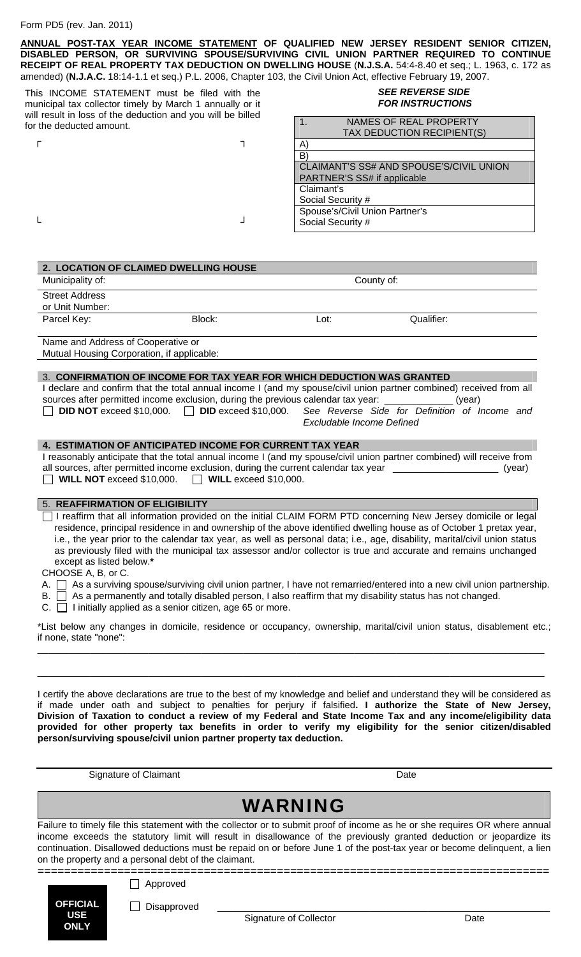## Form PD5 (rev. Jan. 2011)

**ANNUAL POST-TAX YEAR INCOME STATEMENT OF QUALIFIED NEW JERSEY RESIDENT SENIOR CITIZEN, DISABLED PERSON, OR SURVIVING SPOUSE/SURVIVING CIVIL UNION PARTNER REQUIRED TO CONTINUE RECEIPT OF REAL PROPERTY TAX DEDUCTION ON DWELLING HOUSE** (**N.J.S.A.** 54:4-8.40 et seq.; L. 1963, c. 172 as amended) (**N.J.A.C.** 18:14-1.1 et seq.) P.L. 2006, Chapter 103, the Civil Union Act, effective February 19, 2007.

This INCOME STATEMENT must be filed with the municipal tax collector timely by March 1 annually or it will result in loss of the deduction and you will be billed for the deducted amount.

**┌ ┐**

**└ ┘**

| NAMES OF REAL PROPERTY<br>1.            |  |
|-----------------------------------------|--|
| TAX DEDUCTION RECIPIENT(S)              |  |
| А                                       |  |
| В                                       |  |
| CLAIMANT'S SS# AND SPOUSE'S/CIVIL UNION |  |
| PARTNER'S SS# if applicable             |  |
| Claimant's                              |  |
| Social Security #                       |  |
| Spouse's/Civil Union Partner's          |  |
| Social Security #                       |  |
|                                         |  |

*SEE REVERSE SIDE FOR INSTRUCTIONS* 

| 2. LOCATION OF CLAIMED DWELLING HOUSE                                            |        |            |            |  |  |
|----------------------------------------------------------------------------------|--------|------------|------------|--|--|
| Municipality of:                                                                 |        | County of: |            |  |  |
| <b>Street Address</b><br>or Unit Number:                                         |        |            |            |  |  |
| Parcel Key:                                                                      | Block: | Lot:       | Qualifier: |  |  |
| Name and Address of Cooperative or<br>Mutual Housing Corporation, if applicable: |        |            |            |  |  |

## 3. **CONFIRMATION OF INCOME FOR TAX YEAR FOR WHICH DEDUCTION WAS GRANTED**

I declare and confirm that the total annual income I (and my spouse/civil union partner combined) received from all sources after permitted income exclusion, during the previous calendar tax year: \_\_\_\_\_\_\_\_\_\_\_\_\_\_(year) **DID NOT** exceed \$10,000. **DID** exceed \$10,000. *See Reverse Side for Definition of Income and Excludable Income Defined* 

## **4. ESTIMATION OF ANTICIPATED INCOME FOR CURRENT TAX YEAR**

I reasonably anticipate that the total annual income I (and my spouse/civil union partner combined) will receive from all sources, after permitted income exclusion, during the current calendar tax year \_\_\_\_\_\_\_\_\_\_\_\_\_\_\_\_\_\_\_\_ (year) **WILL NOT** exceed \$10,000. **WILL** exceed \$10,000.

## 5. **REAFFIRMATION OF ELIGIBILITY**

 I reaffirm that all information provided on the initial CLAIM FORM PTD concerning New Jersey domicile or legal residence, principal residence in and ownership of the above identified dwelling house as of October 1 pretax year, i.e., the year prior to the calendar tax year, as well as personal data; i.e., age, disability, marital/civil union status as previously filed with the municipal tax assessor and/or collector is true and accurate and remains unchanged except as listed below.**\***

CHOOSE A, B, or C.

- A.  $\Box$  As a surviving spouse/surviving civil union partner, I have not remarried/entered into a new civil union partnership.
- B.  $\Box$  As a permanently and totally disabled person, I also reaffirm that my disability status has not changed.

C.  $\Box$  I initially applied as a senior citizen, age 65 or more.

\*List below any changes in domicile, residence or occupancy, ownership, marital/civil union status, disablement etc.; if none, state "none":

 $\_$  ,  $\_$  ,  $\_$  ,  $\_$  ,  $\_$  ,  $\_$  ,  $\_$  ,  $\_$  ,  $\_$  ,  $\_$  ,  $\_$  ,  $\_$  ,  $\_$  ,  $\_$  ,  $\_$  ,  $\_$  ,  $\_$  ,  $\_$  ,  $\_$  ,  $\_$  ,  $\_$  ,  $\_$  ,  $\_$  ,  $\_$  ,  $\_$  ,  $\_$  ,  $\_$  ,  $\_$  ,  $\_$  ,  $\_$  ,  $\_$  ,  $\_$  ,  $\_$  ,  $\_$  ,  $\_$  ,  $\_$  ,  $\_$  ,

 $\_$  ,  $\_$  ,  $\_$  ,  $\_$  ,  $\_$  ,  $\_$  ,  $\_$  ,  $\_$  ,  $\_$  ,  $\_$  ,  $\_$  ,  $\_$  ,  $\_$  ,  $\_$  ,  $\_$  ,  $\_$  ,  $\_$  ,  $\_$  ,  $\_$  ,  $\_$  ,  $\_$  ,  $\_$  ,  $\_$  ,  $\_$  ,  $\_$  ,  $\_$  ,  $\_$  ,  $\_$  ,  $\_$  ,  $\_$  ,  $\_$  ,  $\_$  ,  $\_$  ,  $\_$  ,  $\_$  ,  $\_$  ,  $\_$  ,

I certify the above declarations are true to the best of my knowledge and belief and understand they will be considered as if made under oath and subject to penalties for perjury if falsified**. I authorize the State of New Jersey, Division of Taxation to conduct a review of my Federal and State Income Tax and any income/eligibility data provided for other property tax benefits in order to verify my eligibility for the senior citizen/disabled person/surviving spouse/civil union partner property tax deduction.** 

Signature of Claimant Date **Date** 

# WARNING

Failure to timely file this statement with the collector or to submit proof of income as he or she requires OR where annual income exceeds the statutory limit will result in disallowance of the previously granted deduction or jeopardize its continuation. Disallowed deductions must be repaid on or before June 1 of the post-tax year or become delinquent, a lien on the property and a personal debt of the claimant.

=============================================================================

| OFFICIAL |  |
|----------|--|
| USE      |  |
| ONLY     |  |

□ Approved

 $\Box$  Disapproved